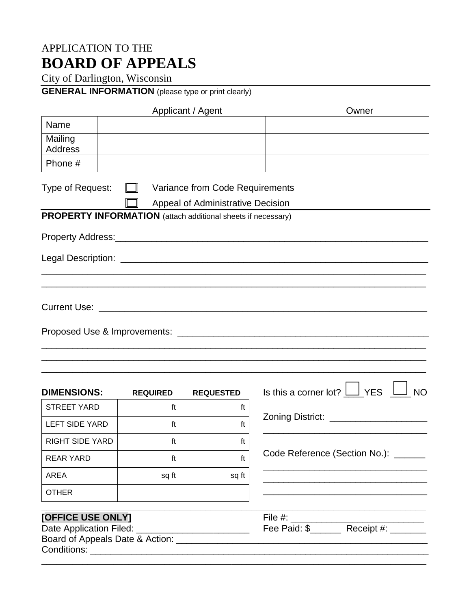## APPLICATION TO THE **BOARD OF APPEALS**

City of Darlington, Wisconsin

## **GENERAL INFORMATION** (please type or print clearly)

| Applicant / Agent                                            |                            |                                                                             | Owner                                                          |  |
|--------------------------------------------------------------|----------------------------|-----------------------------------------------------------------------------|----------------------------------------------------------------|--|
| Name                                                         |                            |                                                                             |                                                                |  |
| Mailing<br><b>Address</b>                                    |                            |                                                                             |                                                                |  |
| Phone #                                                      |                            |                                                                             |                                                                |  |
| Type of Request:                                             | $\mathbf{I}$ $\mathbf{II}$ | Variance from Code Requirements<br><b>Appeal of Administrative Decision</b> |                                                                |  |
| PROPERTY INFORMATION (attach additional sheets if necessary) |                            |                                                                             |                                                                |  |
|                                                              |                            |                                                                             |                                                                |  |
|                                                              |                            |                                                                             |                                                                |  |
|                                                              |                            |                                                                             |                                                                |  |
|                                                              |                            |                                                                             |                                                                |  |
|                                                              |                            |                                                                             |                                                                |  |
| <b>DIMENSIONS:</b>                                           | <b>REQUIRED</b>            | <b>REQUESTED</b>                                                            | Is this a corner lot? $\Box$ YES<br><b>NO</b>                  |  |
| <b>STREET YARD</b>                                           | ft                         | ft                                                                          |                                                                |  |
| <b>LEFT SIDE YARD</b>                                        | ft                         | ft                                                                          |                                                                |  |
| <b>RIGHT SIDE YARD</b>                                       | ft                         | ft                                                                          | Code Reference (Section No.): _______                          |  |
| <b>REAR YARD</b>                                             | ft                         | ft                                                                          |                                                                |  |
| <b>AREA</b>                                                  | sq ft                      | sq ft                                                                       |                                                                |  |
| <b>OTHER</b>                                                 |                            |                                                                             |                                                                |  |
| [OFFICE USE ONLY]<br>Date Application Filed: _               |                            |                                                                             | File #: ___________<br>Fee Paid: \$________ Receipt #: _______ |  |